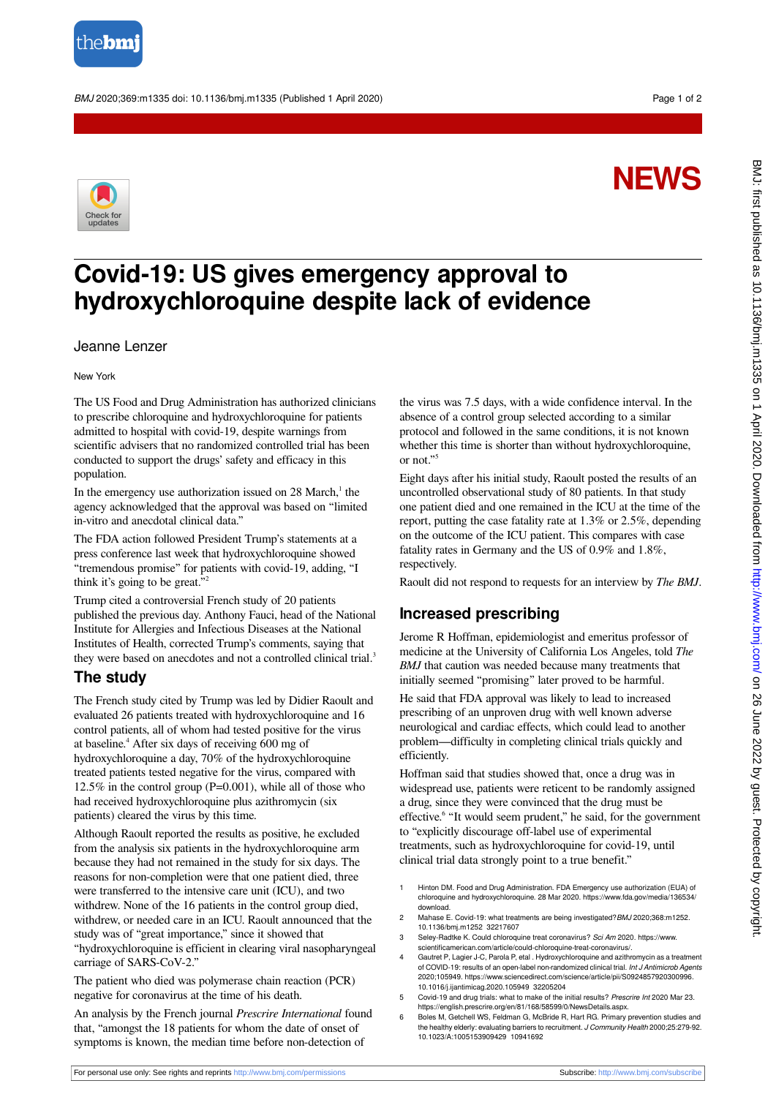

BMJ 2020;369:m1335 doi: 10.1136/bmj.m1335 (Published 1 April 2020) example to the control of 2

# **NEWS**



# **Covid-19: US gives emergency approval to hydroxychloroquine despite lack of evidence**

#### Jeanne Lenzer

New York

The US Food and Drug Administration has authorized clinicians to prescribe chloroquine and hydroxychloroquine for patients admitted to hospital with covid-19, despite warnings from scientific advisers that no randomized controlled trial has been conducted to support the drugs' safety and efficacy in this population.

In the emergency use authorization issued on  $28$  March,<sup>1</sup> the agency acknowledged that the approval was based on "limited in-vitro and anecdotal clinical data."

The FDA action followed President Trump's statements at a press conference last week that hydroxychloroquine showed "tremendous promise" for patients with covid-19, adding, "I think it's going to be great." 2

Trump cited a controversial French study of 20 patients published the previous day. Anthony Fauci, head of the National Institute for Allergies and Infectious Diseases at the National Institutes of Health, corrected Trump's comments, saying that they were based on anecdotes and not a controlled clinical trial.<sup>3</sup>

## **The study**

The French study cited by Trump was led by Didier Raoult and evaluated 26 patients treated with hydroxychloroquine and 16 control patients, all of whom had tested positive for the virus at baseline.<sup>4</sup> After six days of receiving 600 mg of hydroxychloroquine a day, 70% of the hydroxychloroquine treated patients tested negative for the virus, compared with 12.5% in the control group (P=0.001), while all of those who had received hydroxychloroquine plus azithromycin (six patients) cleared the virus by this time.

Although Raoult reported the results as positive, he excluded from the analysis six patients in the hydroxychloroquine arm because they had not remained in the study for six days. The reasons for non-completion were that one patient died, three were transferred to the intensive care unit (ICU), and two withdrew. None of the 16 patients in the control group died, withdrew, or needed care in an ICU. Raoult announced that the study was of "great importance," since it showed that "hydroxychloroquine is efficient in clearing viral nasopharyngeal carriage of SARS-CoV-2."

The patient who died was polymerase chain reaction (PCR) negative for coronavirus at the time of his death.

An analysis by the French journal *Prescrire International* found that, "amongst the 18 patients for whom the date of onset of symptoms is known, the median time before non-detection of

the virus was 7.5 days, with a wide confidence interval. In the absence of a control group selected according to a similar protocol and followed in the same conditions, it is not known whether this time is shorter than without hydroxychloroquine, or not." 5

Eight days after his initial study, Raoult posted the results of an uncontrolled observational study of 80 patients. In that study one patient died and one remained in the ICU at the time of the report, putting the case fatality rate at 1.3% or 2.5%, depending on the outcome of the ICU patient. This compares with case fatality rates in Germany and the US of 0.9% and 1.8%, respectively.

Raoult did not respond to requests for an interview by *The BMJ*.

## **Increased prescribing**

Jerome R Hoffman, epidemiologist and emeritus professor of medicine at the University of California Los Angeles, told *The BMJ* that caution was needed because many treatments that initially seemed "promising" later proved to be harmful.

He said that FDA approval was likely to lead to increased prescribing of an unproven drug with well known adverse neurological and cardiac effects, which could lead to another problem—difficulty in completing clinical trials quickly and efficiently.

Hoffman said that studies showed that, once a drug was in widespread use, patients were reticent to be randomly assigned a drug, since they were convinced that the drug must be effective.<sup>6</sup> "It would seem prudent," he said, for the government to "explicitly discourage off-label use of experimental treatments, such as hydroxychloroquine for covid-19, until clinical trial data strongly point to a true benefit."

- 1 Hinton DM. Food and Drug Administration. FDA Emergency use authorization (EUA) of chloroquine and hydroxychloroquine. 28 Mar 2020. https://www.fda.gov/media/136534/ download.
- 2 Mahase E. Covid-19: what treatments are being investigated? BMJ 2020;368:m1252. 10.1136/bmj.m1252 32217607
- 3 Seley-Radtke K. Could chloroquine treat coronavirus? Sci Am 2020. https://www. scientificamerican.com/article/could-chloroquine-treat-coronavirus/.
- 4 Gautret P, Lagier J-C, Parola P, etal . Hydroxychloroquine and azithromycin as a treatment of COVID-19: results of an open-label non-randomized clinical trial. Int J Antimicrob Agents<br>2020;105949. https://www.sciencedirect.com/science/article/pii/S0924857920300996. 10.1016/j.ijantimicag.2020.105949 32205204
- 5 Covid-19 and drug trials: what to make of the initial results? Prescrire Int 2020 Mar 23. https://english.prescrire.org/en/81/168/58599/0/NewsDetails.aspx.
- 6 Boles M, Getchell WS, Feldman G, McBride R, Hart RG. Primary prevention studies and the healthy elderly: evaluating barriers to recruitment. J Community Health 2000;25:279-92. 10.1023/A:1005153909429 10941692